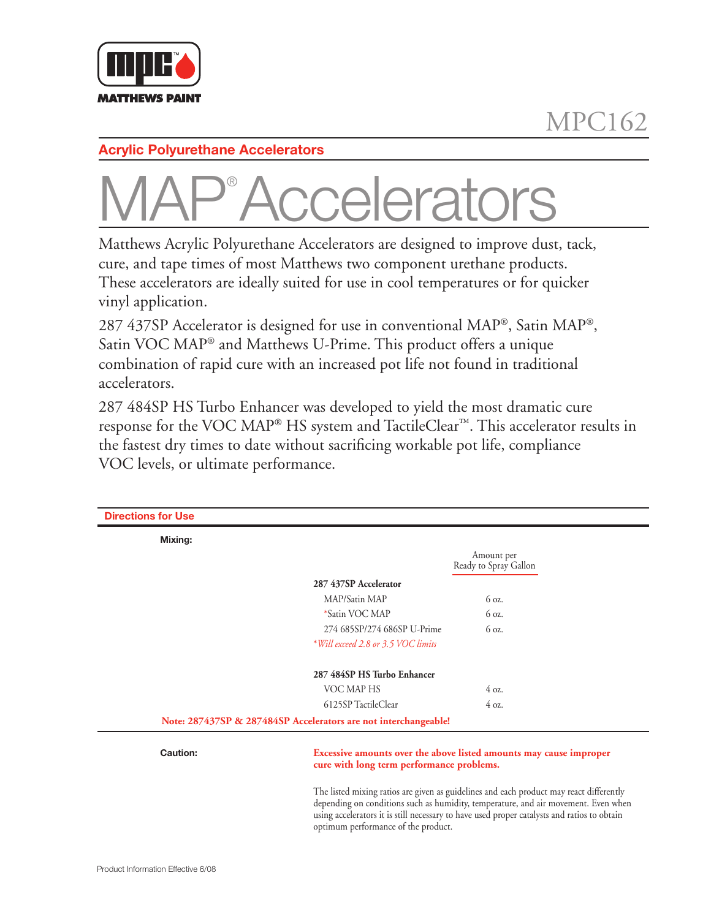

## **Acrylic Polyurethane Accelerators**

## MAP® celerato

Matthews Acrylic Polyurethane Accelerators are designed to improve dust, tack, cure, and tape times of most Matthews two component urethane products. These accelerators are ideally suited for use in cool temperatures or for quicker vinyl application.

287 437SP Accelerator is designed for use in conventional  $MAP^{\circ}$ , Satin  $MAP^{\circ}$ , Satin VOC MAP® and Matthews U-Prime. This product offers a unique combination of rapid cure with an increased pot life not found in traditional accelerators.

287 484SP HS Turbo Enhancer was developed to yield the most dramatic cure response for the VOC MAP® HS system and TactileClear™. This accelerator results in the fastest dry times to date without sacrificing workable pot life, compliance VOC levels, or ultimate performance.

| <b>Directions for Use</b> |                                                                                                                                                                                                                                                                                                                     |                                     |  |
|---------------------------|---------------------------------------------------------------------------------------------------------------------------------------------------------------------------------------------------------------------------------------------------------------------------------------------------------------------|-------------------------------------|--|
| Mixing:                   |                                                                                                                                                                                                                                                                                                                     |                                     |  |
|                           |                                                                                                                                                                                                                                                                                                                     | Amount per<br>Ready to Spray Gallon |  |
|                           | 287 437SP Accelerator                                                                                                                                                                                                                                                                                               |                                     |  |
|                           | MAP/Satin MAP                                                                                                                                                                                                                                                                                                       | 6 oz.                               |  |
|                           | *Satin VOC MAP                                                                                                                                                                                                                                                                                                      | 6 oz.                               |  |
|                           | 274 685SP/274 686SP U-Prime                                                                                                                                                                                                                                                                                         | 6 oz.                               |  |
|                           | *Will exceed 2.8 or 3.5 VOC limits                                                                                                                                                                                                                                                                                  |                                     |  |
|                           | 287 484SP HS Turbo Enhancer                                                                                                                                                                                                                                                                                         |                                     |  |
|                           | VOC MAP HS                                                                                                                                                                                                                                                                                                          | 40z                                 |  |
|                           | 6125SP TactileClear                                                                                                                                                                                                                                                                                                 | 40z                                 |  |
|                           | Note: 287437SP & 287484SP Accelerators are not interchangeable!                                                                                                                                                                                                                                                     |                                     |  |
| Caution:                  | Excessive amounts over the above listed amounts may cause improper<br>cure with long term performance problems.                                                                                                                                                                                                     |                                     |  |
|                           | The listed mixing ratios are given as guidelines and each product may react differently<br>depending on conditions such as humidity, temperature, and air movement. Even when<br>using accelerators it is still necessary to have used proper catalysts and ratios to obtain<br>optimum performance of the product. |                                     |  |